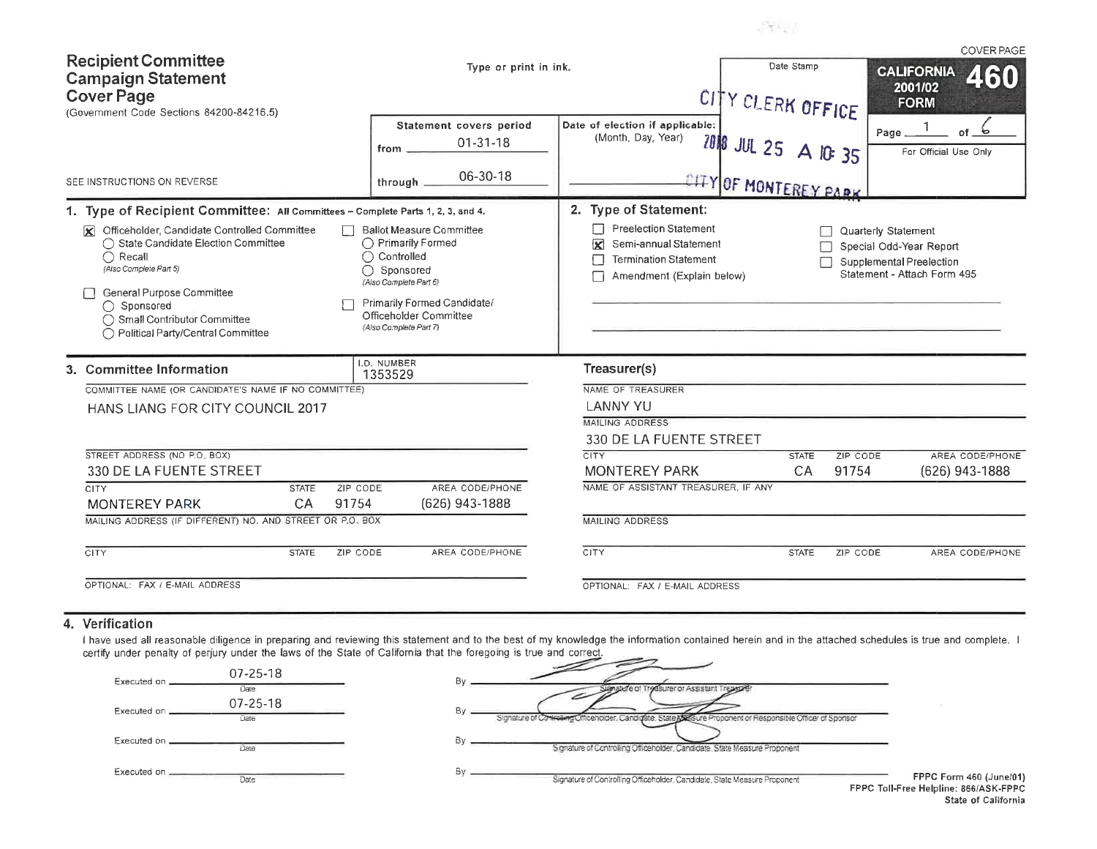|                                                                                                                                                                                                                                                |                                                                                                                                                                                               |                                                                                                                              |                                 | <b>COVER PAGE</b>                                                                                         |
|------------------------------------------------------------------------------------------------------------------------------------------------------------------------------------------------------------------------------------------------|-----------------------------------------------------------------------------------------------------------------------------------------------------------------------------------------------|------------------------------------------------------------------------------------------------------------------------------|---------------------------------|-----------------------------------------------------------------------------------------------------------|
| <b>Recipient Committee</b><br><b>Campaign Statement</b><br><b>Cover Page</b><br>(Government Code Sections 84200-84216.5)                                                                                                                       | Type or print in ink.                                                                                                                                                                         |                                                                                                                              | Date Stamp<br>CITY CLERK OFFICE | <b>CALIFORNIA</b><br>460<br>2001/02<br><b>FORM</b>                                                        |
|                                                                                                                                                                                                                                                | Statement covers period<br>$01 - 31 - 18$<br>from.                                                                                                                                            | Date of election if applicable:<br>(Month, Day, Year)                                                                        | ZONG JUL 25 A IG: 35            | ъ<br>of.<br>Page<br>For Official Use Only                                                                 |
| SEE INSTRUCTIONS ON REVERSE                                                                                                                                                                                                                    | 06-30-18<br>through                                                                                                                                                                           |                                                                                                                              | CITY OF MONTEREY PARK           |                                                                                                           |
| 1. Type of Recipient Committee: All Committees - Complete Parts 1, 2, 3, and 4.                                                                                                                                                                |                                                                                                                                                                                               | 2. Type of Statement:                                                                                                        |                                 |                                                                                                           |
| Officeholder, Candidate Controlled Committee<br>◯ State Candidate Election Committee<br>◯ Recall<br>(Also Complete Part 5)<br>General Purpose Committee<br>◯ Sponsored<br>◯ Small Contributor Committee<br>◯ Political Party/Central Committee | <b>Ballot Measure Committee</b><br>◯ Primarily Formed<br>Controlled<br>Sponsored<br>(Also Complete Part 6)<br>Primarily Formed Candidate/<br>Officeholder Committee<br>(Also Complete Part 7) | <b>Preelection Statement</b><br>Semi-annual Statement<br>X<br><b>Termination Statement</b><br>L<br>Amendment (Explain below) |                                 | Quarterly Statement<br>Special Odd-Year Report<br>Supplemental Preelection<br>Statement - Attach Form 495 |
| 3. Committee Information                                                                                                                                                                                                                       | I.D. NUMBER<br>1353529                                                                                                                                                                        | Treasurer(s)                                                                                                                 |                                 |                                                                                                           |
| COMMITTEE NAME (OR CANDIDATE'S NAME IF NO COMMITTEE)                                                                                                                                                                                           |                                                                                                                                                                                               | NAME OF TREASURER                                                                                                            |                                 |                                                                                                           |
| HANS LIANG FOR CITY COUNCIL 2017                                                                                                                                                                                                               |                                                                                                                                                                                               | <b>LANNY YU</b>                                                                                                              |                                 |                                                                                                           |
|                                                                                                                                                                                                                                                |                                                                                                                                                                                               | <b>MAILING ADDRESS</b>                                                                                                       |                                 |                                                                                                           |
|                                                                                                                                                                                                                                                |                                                                                                                                                                                               | 330 DE LA FUENTE STREET                                                                                                      |                                 |                                                                                                           |
| STREET ADDRESS (NO P.O. BOX)<br>330 DE LA FUENTE STREET                                                                                                                                                                                        |                                                                                                                                                                                               | <b>CITY</b><br><b>MONTEREY PARK</b>                                                                                          | <b>STATE</b><br>CA              | AREA CODE/PHONE<br>ZIP CODE<br>91754<br>(626) 943-1888                                                    |
| ZIP CODE<br><b>CITY</b><br><b>STATE</b>                                                                                                                                                                                                        | AREA CODE/PHONE                                                                                                                                                                               | NAME OF ASSISTANT TREASURER. IF ANY                                                                                          |                                 |                                                                                                           |
| <b>MONTEREY PARK</b><br>CA<br>91754                                                                                                                                                                                                            | (626) 943-1888                                                                                                                                                                                |                                                                                                                              |                                 |                                                                                                           |
| MAILING ADDRESS (IF DIFFERENT) NO. AND STREET OR P.O. BOX                                                                                                                                                                                      |                                                                                                                                                                                               | <b>MAILING ADDRESS</b>                                                                                                       |                                 |                                                                                                           |
| CITY<br>ZIP CODE<br><b>STATE</b>                                                                                                                                                                                                               | AREA CODE/PHONE                                                                                                                                                                               | CITY                                                                                                                         | <b>STATE</b>                    | ZIP CODE<br>AREA CODE/PHONE                                                                               |
| OPTIONAL: FAX / E-MAIL ADDRESS                                                                                                                                                                                                                 |                                                                                                                                                                                               | OPTIONAL: FAX / E-MAIL ADDRESS                                                                                               |                                 |                                                                                                           |

**ATEA** 

#### 4. Verification

I have used all reasonable diligence in preparing and reviewing this statement and to the best of my knowledge the information contained herein and in the attached schedules is true and complete. I certify under penalty of  $\overline{\phantom{a}}$ 

-

- 2

| Executed on  | 07-25-18               |                                                                                                                    |                                    |
|--------------|------------------------|--------------------------------------------------------------------------------------------------------------------|------------------------------------|
|              | Date<br>$07 - 25 - 18$ | atule of Treasurer or Assistant                                                                                    |                                    |
| Executed on  | Date                   | Βv<br>miraling Officeholder, Candigate, State Assure Proponent or Responsible Officer of Sponsor<br>Sionature of I |                                    |
| Executed on. | Date                   | Signature of Controlling Officeholder, Candidate, State Measure Proponent                                          |                                    |
| Executed on. | Date                   | Signature of Controlling Officeholder Candidate, State Measure Proponent                                           | FPPC Form 460 (June                |
|              |                        |                                                                                                                    | FPPC Toll-Free Helpline: 866/ASK-F |

e/01) PPC. State of California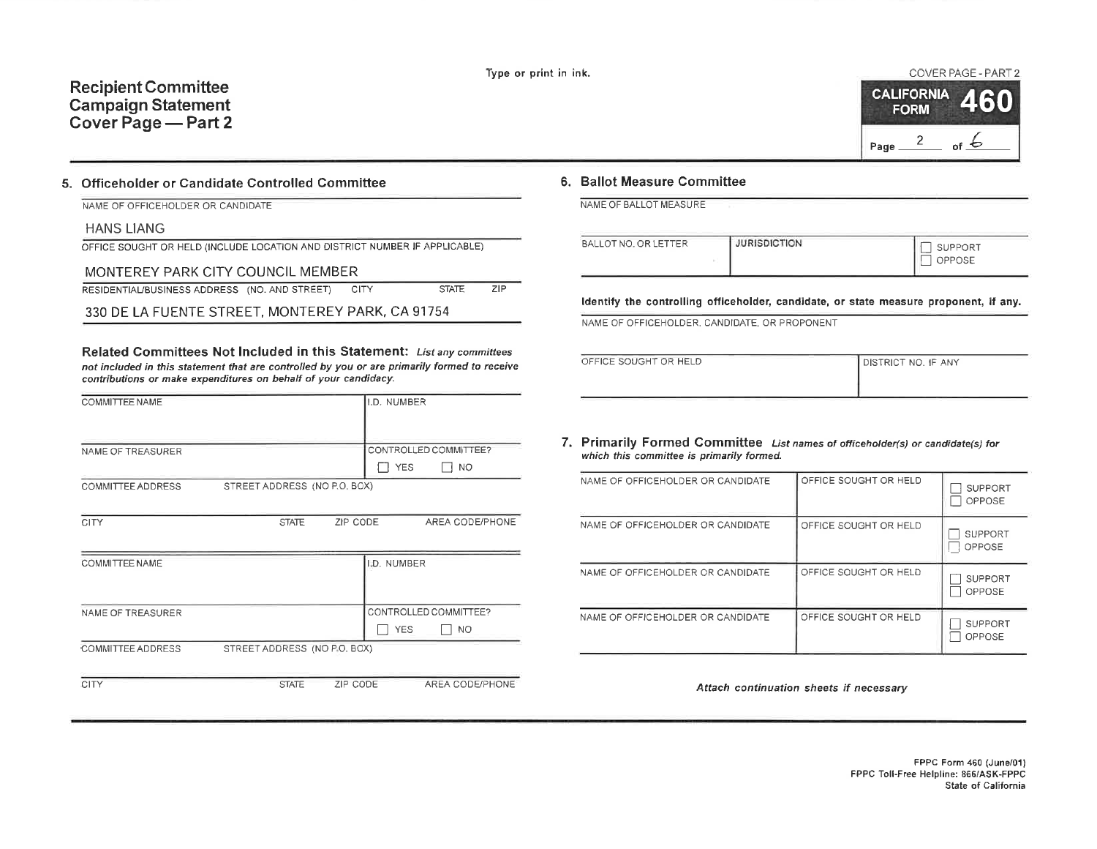## **Recipient Committee Campaign Statement** Cover Page - Part 2

#### 5. Officeholder or Candidate Controlled Committee

| NAME OF OFFICEHOLDER OR CANDIDATE |  |
|-----------------------------------|--|

#### **HANS LIANG**

|  | OFFICE SOUGHT OR HELD (INCLUDE LOCATION AND DISTRICT NUMBER IF APPLICABLE) |  |
|--|----------------------------------------------------------------------------|--|
|--|----------------------------------------------------------------------------|--|

### MONTEREY PARK CITY COUNCIL MEMBER

|  | RESIDENTIAL/BUSINESS ADDRESS (NO. AND STREET) |  | - CITY | <b>STATE</b> | ZIP. |
|--|-----------------------------------------------|--|--------|--------------|------|
|--|-----------------------------------------------|--|--------|--------------|------|

330 DE LA FUENTE STREET, MONTEREY PARK, CA 91754

Related Committees Not Included in this Statement: List any committees not included in this statement that are controlled by you or are primarily formed to receive contributions or make expenditures on behalf of your candidacy.

| COMMITTEE NAME    |                              |          | I.D. NUMBER |                       |
|-------------------|------------------------------|----------|-------------|-----------------------|
|                   |                              |          |             |                       |
|                   |                              |          |             |                       |
|                   |                              |          |             |                       |
| NAME OF TREASURER |                              |          |             | CONTROLLED COMMITTEE? |
|                   |                              |          | <b>YES</b>  | NO.                   |
| COMMITTEE ADDRESS | STREET ADDRESS (NO P.O. BOX) |          |             |                       |
|                   |                              |          |             |                       |
| <b>CITY</b>       | <b>STATE</b>                 | ZIP CODE |             | AREA CODE/PHONE       |
|                   |                              |          |             |                       |
|                   |                              |          |             |                       |
| COMMITTEE NAME    |                              |          | LD. NUMBER  |                       |
|                   |                              |          |             |                       |
|                   |                              |          |             |                       |
| NAME OF TREASURER |                              |          |             | CONTROLLED COMMITTEE? |
|                   |                              |          | <b>YES</b>  | <b>NO</b>             |
|                   |                              |          |             |                       |
| COMMITTEE ADDRESS | STREET ADDRESS (NO P.O. BOX) |          |             |                       |
|                   |                              |          |             |                       |
| CITY              | <b>STATE</b>                 | ZIP CODE |             | AREA CODE/PHONE       |

#### 6. Ballot Measure Committee

NAME OF BALLOT MEASURE

| <b>JURISDICTION</b>  | <b>SUPPORT</b> |
|----------------------|----------------|
| BALLOT NO. OR LETTER | OPPOSE         |

Identify the controlling officeholder, candidate, or state measure proponent, if any.

NAME OF OFFICEHOLDER, CANDIDATE, OR PROPONENT

| OFFICE SOUGHT OR HELD | <b>I DISTRICT NO. IF ANY</b> |
|-----------------------|------------------------------|

7. Primarily Formed Committee List names of officeholder(s) or candidate(s) for which this committee is primarily formed.

| NAME OF OFFICEHOLDER OR CANDIDATE | OFFICE SOUGHT OR HELD | <b>SUPPORT</b><br>OPPOSE |
|-----------------------------------|-----------------------|--------------------------|
| NAME OF OFFICEHOLDER OR CANDIDATE | OFFICE SOUGHT OR HELD | <b>SUPPORT</b><br>OPPOSE |
| NAME OF OFFICEHOLDER OR CANDIDATE | OFFICE SOUGHT OR HELD | <b>SUPPORT</b><br>OPPOSE |
| NAME OF OFFICEHOLDER OR CANDIDATE | OFFICE SOUGHT OR HELD | <b>SUPPORT</b><br>OPPOSE |

Attach continuation sheets if necessary

COVER PAGE - PART 2

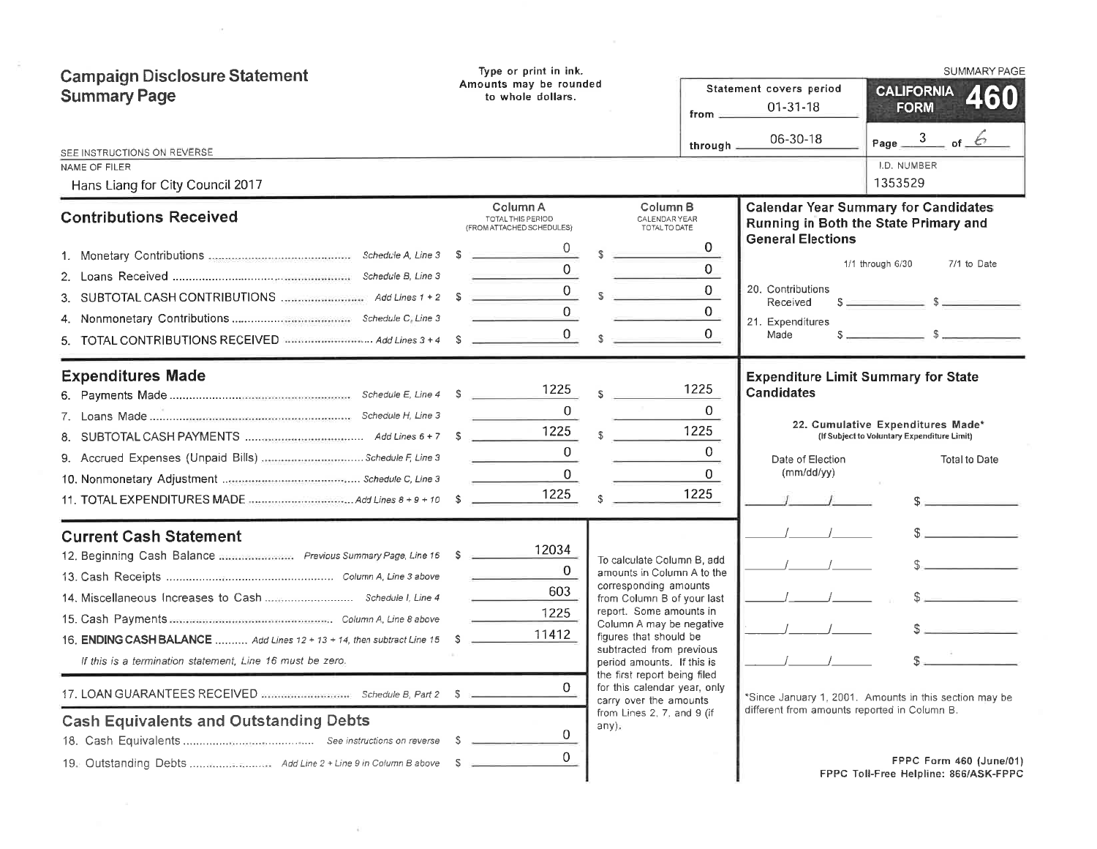| Type or print in ink.                                                                                                                                                                                        |                          |                                                              |                                                                                                                                                                                                                                                                                                                                                                                                                                                  | <b>SUMMARY PAGE</b>                                                                                                                                         |
|--------------------------------------------------------------------------------------------------------------------------------------------------------------------------------------------------------------|--------------------------|--------------------------------------------------------------|--------------------------------------------------------------------------------------------------------------------------------------------------------------------------------------------------------------------------------------------------------------------------------------------------------------------------------------------------------------------------------------------------------------------------------------------------|-------------------------------------------------------------------------------------------------------------------------------------------------------------|
| to whole dollars.                                                                                                                                                                                            |                          | Statement covers period<br>$01 - 31 - 18$<br>from $=$        |                                                                                                                                                                                                                                                                                                                                                                                                                                                  | <b>CALIFORNIA</b><br>460<br><b>FORM</b>                                                                                                                     |
|                                                                                                                                                                                                              |                          | through                                                      | 06-30-18                                                                                                                                                                                                                                                                                                                                                                                                                                         | Page $\frac{3}{2}$ of $\frac{6}{3}$<br>I.D. NUMBER                                                                                                          |
|                                                                                                                                                                                                              |                          |                                                              |                                                                                                                                                                                                                                                                                                                                                                                                                                                  | 1353529                                                                                                                                                     |
| Column A<br>TOTAL THIS PERIOD<br>(FROM ATTACHED SCHEDULES)                                                                                                                                                   |                          |                                                              |                                                                                                                                                                                                                                                                                                                                                                                                                                                  | <b>Calendar Year Summary for Candidates</b><br>Running in Both the State Primary and                                                                        |
| 0<br>$^{\circ}$<br>$\overline{0}$<br>TOTAL CONTRIBUTIONS RECEIVED MARAGERY And Lines 3 + 4 \$                                                                                                                | S.<br>$\mathbb{S}$       | 0<br>0<br>$\overline{0}$<br>0                                | 20. Contributions<br>Received<br>21. Expenditures<br>Made                                                                                                                                                                                                                                                                                                                                                                                        | 1/1 through 6/30<br>7/1 to Date<br>$s = 1$                                                                                                                  |
| 1225<br>$\Omega$<br>1225<br>$\Omega$<br>0<br>1225                                                                                                                                                            | S.<br>$\mathbb{R}$<br>s. | 1225<br>$\mathbf{0}$<br>1225<br>$\Omega$<br>$\Omega$<br>1225 | <b>Candidates</b><br>Date of Election<br>(mm/dd/yy)                                                                                                                                                                                                                                                                                                                                                                                              | <b>Expenditure Limit Summary for State</b><br>22. Cumulative Expenditures Made*<br>(If Subject to Voluntary Expenditure Limit)<br><b>Total to Date</b><br>s |
| 12034<br>12. Beginning Cash Balance  Previous Summary Page, Line 16 \$<br>$\overline{0}$<br>603<br>1225<br>11412<br>16. ENDING CASH BALANCE  Add Lines 12 + 13 + 14, then subtract Line 15 \$<br>0<br>0<br>0 | any).                    |                                                              |                                                                                                                                                                                                                                                                                                                                                                                                                                                  | $\mathbb{S}$<br>$S_{\text{max}}$<br>$S_{\perp}$<br>*Since January 1, 2001. Amounts in this section may be<br>FPPC Form 460 (June/01)                        |
|                                                                                                                                                                                                              |                          | Amounts may be rounded                                       | Column <sub>B</sub><br>CALENDAR YEAR<br>TOTAL TO DATE<br>0<br>To calculate Column B, add<br>amounts in Column A to the<br>corresponding amounts<br>from Column B of your last<br>report. Some amounts in<br>Column A may be negative<br>figures that should be<br>subtracted from previous<br>period amounts. If this is<br>the first report being filed<br>for this calendar year, only<br>carry over the amounts<br>from Lines 2, 7, and 9 (if | <b>General Elections</b><br>different from amounts reported in Column B.                                                                                    |

 $\tilde{a}$  ). <br> <br> <br> <br> <br> <br> <br> <br> <br><br><br><br><br><br>

 $\label{eq:3.1} \begin{array}{ll} \mathcal{F} & \mathcal{F} & \mathcal{F} \\ \mathcal{F} & \mathcal{F} & \mathcal{F} \end{array}$ 

 $\mathcal{R}$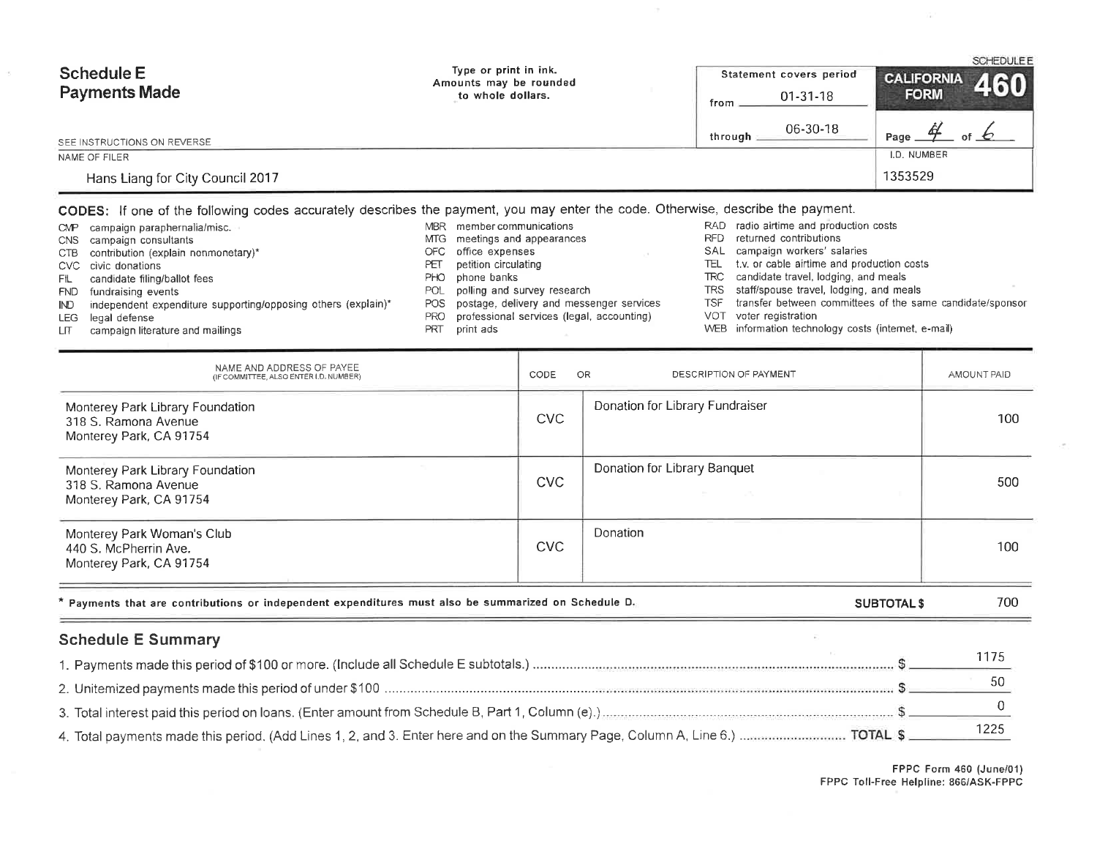| Schedule E                       | Type or print in ink.<br>Amounts may be rounded | Statement covers period | SCHEDULEE<br><b>CALIFORNIA</b><br>460 |
|----------------------------------|-------------------------------------------------|-------------------------|---------------------------------------|
| <b>Payments Made</b>             | to whole dollars.                               | $01-31-18$<br>from      | <b>FORM</b>                           |
| SEE INSTRUCTIONS ON REVERSE      |                                                 | 06-30-18<br>through     | of $\mathcal{L}$<br>Page.             |
| NAME OF FILER                    |                                                 |                         | I.D. NUMBER                           |
| Hans Liang for City Council 2017 |                                                 |                         | 1353529                               |

### CODES: If one of the following codes accurately describes the payment, you may enter the code. Otherwise, describe the payment.

|              | CMP campaign paraphernalia/misc.                              | <b>MBR</b> | member communications                        |      | RAD radio airtime and production costs                        |
|--------------|---------------------------------------------------------------|------------|----------------------------------------------|------|---------------------------------------------------------------|
|              | CNS campaign consultants                                      |            | MTG meetings and appearances                 | RFD. | returned contributions                                        |
|              | CTB contribution (explain nonmonetary)*                       |            | OFC office expenses                          |      | SAL campaign workers' salaries                                |
|              | CVC civic donations                                           | PΕΤ        | petition circulating                         |      | TEL t.v. or cable airtime and production costs                |
| FIL .        | candidate filing/ballot fees                                  | PHO.       | phone banks                                  |      | TRC candidate travel, lodging, and meals                      |
|              | FND fundraising events                                        | <b>POL</b> | polling and survey research                  |      | TRS staff/spouse travel, lodging, and meals                   |
| $\mathbb{D}$ | independent expenditure supporting/opposing others (explain)* |            | POS postage, delivery and messenger services |      | TSF transfer between committees of the same candidate/sponsor |
|              | LEG legal defense                                             | PRO        | professional services (legal, accounting)    |      | VOT voter registration                                        |
| LIT.         | campaign literature and mailings                              | PRT        | print ads                                    |      | WEB information technology costs (internet, e-mail)           |

| NAME AND ADDRESS OF PAYEE<br>(IF COMMITTEE, ALSO ENTER I.D. NUMBER)                                  | OR<br>CODE | DESCRIPTION OF PAYMENT                             | AMOUNT PAID |
|------------------------------------------------------------------------------------------------------|------------|----------------------------------------------------|-------------|
| Monterey Park Library Foundation<br>318 S. Ramona Avenue<br>Monterey Park, CA 91754                  | <b>CVC</b> | Donation for Library Fundraiser                    | 100         |
| Monterey Park Library Foundation<br>318 S. Ramona Avenue<br>Monterey Park, CA 91754                  | CVC        | Donation for Library Banquet<br>the company of the | 500         |
| Monterey Park Woman's Club<br>440 S. McPherrin Ave.<br>Monterey Park, CA 91754                       | <b>CVC</b> | Donation                                           | 100         |
| * Payments that are contributions or independent expenditures must also be summarized on Schedule D. |            | <b>SUBTOTAL \$</b>                                 | 700         |

# **Schedule E Summary**

FPPC Form 460 (June/01)<br>FPPC Toll-Free Helpline: 866/ASK-FPPC

 $\overline{a}$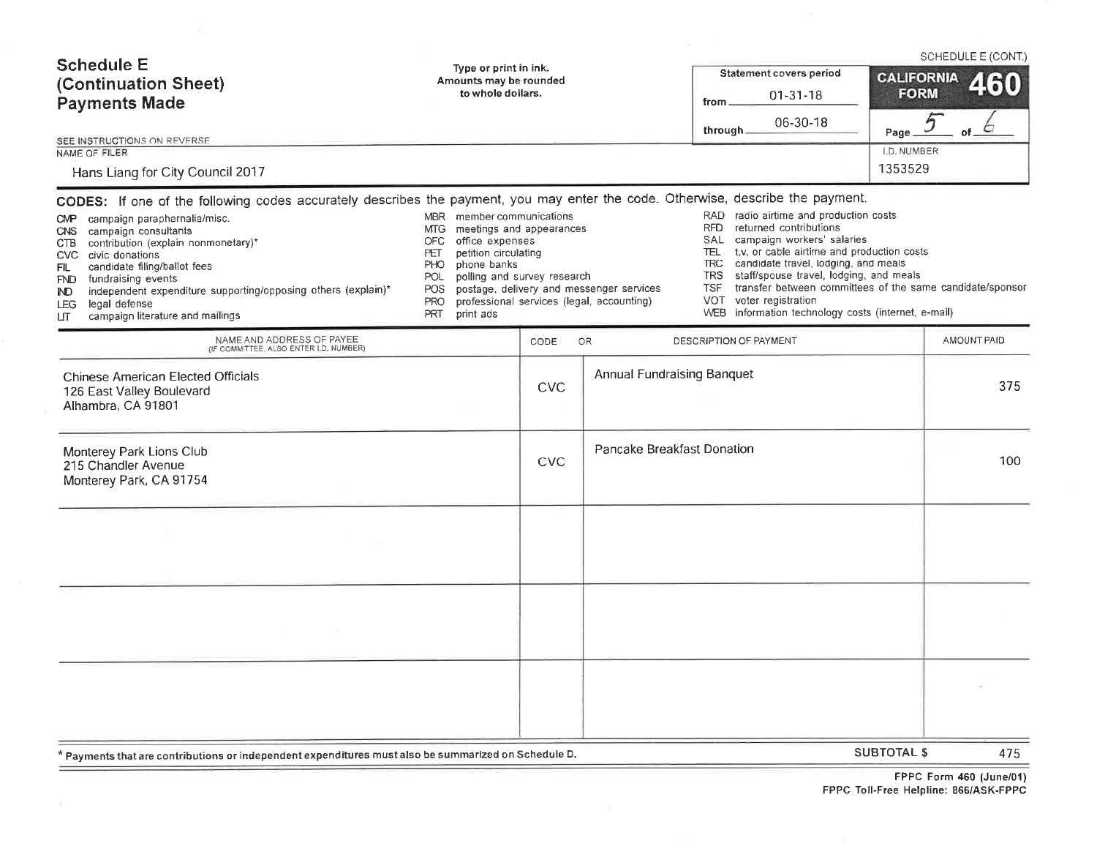| <b>Schedule E</b><br>(Continuation Sheet)<br><b>Payments Made</b><br>SEE INSTRUCTIONS ON REVERSE<br>NAME OF FILER<br>Hans Liang for City Council 2017<br>CODES: If one of the following codes accurately describes the payment, you may enter the code. Otherwise, describe the payment.<br>campaign paraphernalia/misc.<br>CMP .<br>campaign consultants<br>CNS<br>contribution (explain nonmonetary)*<br>CTB<br>CVC civic donations<br>candidate filing/ballot fees<br>FIL<br><b>FND</b><br>fundraising events<br>independent expenditure supporting/opposing others (explain)*<br>IND.<br>legal defense<br><b>LEG</b><br>campaign literature and mailings<br>LП | Type or print in ink.<br>Amounts may be rounded<br>to whole dollars.<br>MBR member communications<br>meetings and appearances<br>MTG.<br><b>OFC</b><br>office expenses<br>petition circulating<br>PET<br>phone banks<br><b>PHO</b><br>polling and survey research<br>POL<br>POS<br><b>PRO</b><br>PRT<br>print ads |            | postage, delivery and messenger services<br>professional services (legal, accounting) | Statement covers period<br>$01 - 31 - 18$<br>from<br>06-30-18<br>through<br>RAD radio airtime and production costs<br><b>RFD</b><br>returned contributions<br>SAL campaign workers' salaries<br>t.v. or cable airtime and production costs<br>TEL.<br><b>TRC</b><br>candidate travel, lodging, and meals<br>staff/spouse travel, lodging, and meals<br><b>TRS</b><br>transfer between committees of the same candidate/sponsor<br>TSF<br>voter registration<br>VOT<br>information technology costs (internet, e-mail)<br><b>WEB</b> | <b>CALIFORNIA</b><br><b>FORM</b><br>Page<br>I.D. NUMBER<br>1353529 | SCHEDULE E (CONT.)<br>460<br>5<br>of. |
|--------------------------------------------------------------------------------------------------------------------------------------------------------------------------------------------------------------------------------------------------------------------------------------------------------------------------------------------------------------------------------------------------------------------------------------------------------------------------------------------------------------------------------------------------------------------------------------------------------------------------------------------------------------------|-------------------------------------------------------------------------------------------------------------------------------------------------------------------------------------------------------------------------------------------------------------------------------------------------------------------|------------|---------------------------------------------------------------------------------------|-------------------------------------------------------------------------------------------------------------------------------------------------------------------------------------------------------------------------------------------------------------------------------------------------------------------------------------------------------------------------------------------------------------------------------------------------------------------------------------------------------------------------------------|--------------------------------------------------------------------|---------------------------------------|
| NAME AND ADDRESS OF PAYEE<br>(IF COMMITTEE, ALSO ENTER I.D. NUMBER)                                                                                                                                                                                                                                                                                                                                                                                                                                                                                                                                                                                                |                                                                                                                                                                                                                                                                                                                   | CODE       | OR                                                                                    | DESCRIPTION OF PAYMENT                                                                                                                                                                                                                                                                                                                                                                                                                                                                                                              |                                                                    | AMOUNT PAID                           |
| <b>Chinese American Elected Officials</b><br>126 East Valley Boulevard<br>Alhambra, CA 91801                                                                                                                                                                                                                                                                                                                                                                                                                                                                                                                                                                       |                                                                                                                                                                                                                                                                                                                   | <b>CVC</b> | <b>Annual Fundraising Banquet</b>                                                     |                                                                                                                                                                                                                                                                                                                                                                                                                                                                                                                                     |                                                                    | 375                                   |
| Monterey Park Lions Club<br>215 Chandler Avenue<br>Monterey Park, CA 91754                                                                                                                                                                                                                                                                                                                                                                                                                                                                                                                                                                                         |                                                                                                                                                                                                                                                                                                                   | <b>CVC</b> | Pancake Breakfast Donation                                                            |                                                                                                                                                                                                                                                                                                                                                                                                                                                                                                                                     |                                                                    | 100                                   |
|                                                                                                                                                                                                                                                                                                                                                                                                                                                                                                                                                                                                                                                                    |                                                                                                                                                                                                                                                                                                                   |            |                                                                                       |                                                                                                                                                                                                                                                                                                                                                                                                                                                                                                                                     |                                                                    |                                       |
|                                                                                                                                                                                                                                                                                                                                                                                                                                                                                                                                                                                                                                                                    |                                                                                                                                                                                                                                                                                                                   |            |                                                                                       |                                                                                                                                                                                                                                                                                                                                                                                                                                                                                                                                     |                                                                    |                                       |
|                                                                                                                                                                                                                                                                                                                                                                                                                                                                                                                                                                                                                                                                    |                                                                                                                                                                                                                                                                                                                   |            |                                                                                       |                                                                                                                                                                                                                                                                                                                                                                                                                                                                                                                                     |                                                                    |                                       |
| * Payments that are contributions or independent expenditures must also be summarized on Schedule D.                                                                                                                                                                                                                                                                                                                                                                                                                                                                                                                                                               |                                                                                                                                                                                                                                                                                                                   |            |                                                                                       |                                                                                                                                                                                                                                                                                                                                                                                                                                                                                                                                     | <b>SUBTOTAL S</b>                                                  | 475                                   |

 $\mathcal{L}^{\mathcal{L}}$